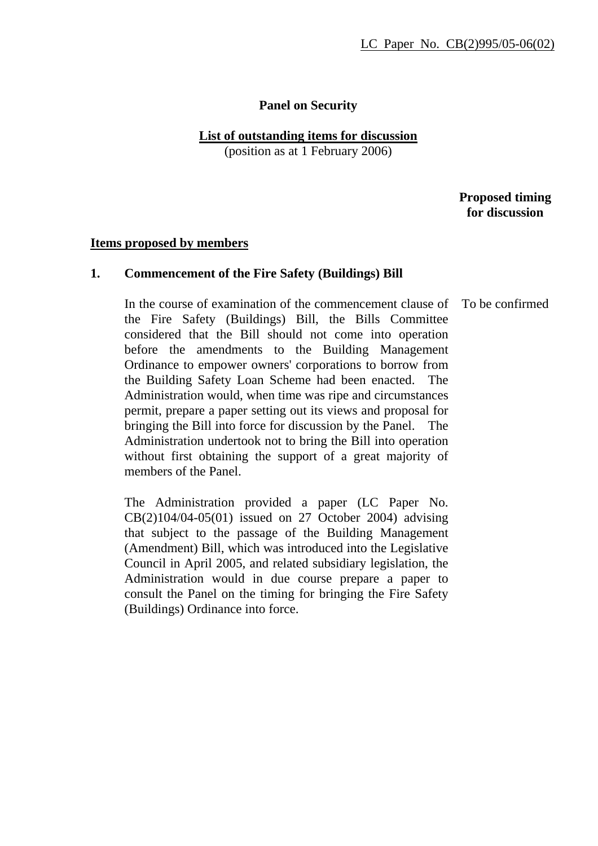# **Panel on Security**

### **List of outstanding items for discussion**

(position as at 1 February 2006)

 **Proposed timing for discussion** 

#### **Items proposed by members**

#### **1. Commencement of the Fire Safety (Buildings) Bill**

In the course of examination of the commencement clause of the Fire Safety (Buildings) Bill, the Bills Committee considered that the Bill should not come into operation before the amendments to the Building Management Ordinance to empower owners' corporations to borrow from the Building Safety Loan Scheme had been enacted. The Administration would, when time was ripe and circumstances permit, prepare a paper setting out its views and proposal for bringing the Bill into force for discussion by the Panel. The Administration undertook not to bring the Bill into operation without first obtaining the support of a great majority of members of the Panel. To be confirmed

The Administration provided a paper (LC Paper No. CB(2)104/04-05(01) issued on 27 October 2004) advising that subject to the passage of the Building Management (Amendment) Bill, which was introduced into the Legislative Council in April 2005, and related subsidiary legislation, the Administration would in due course prepare a paper to consult the Panel on the timing for bringing the Fire Safety (Buildings) Ordinance into force.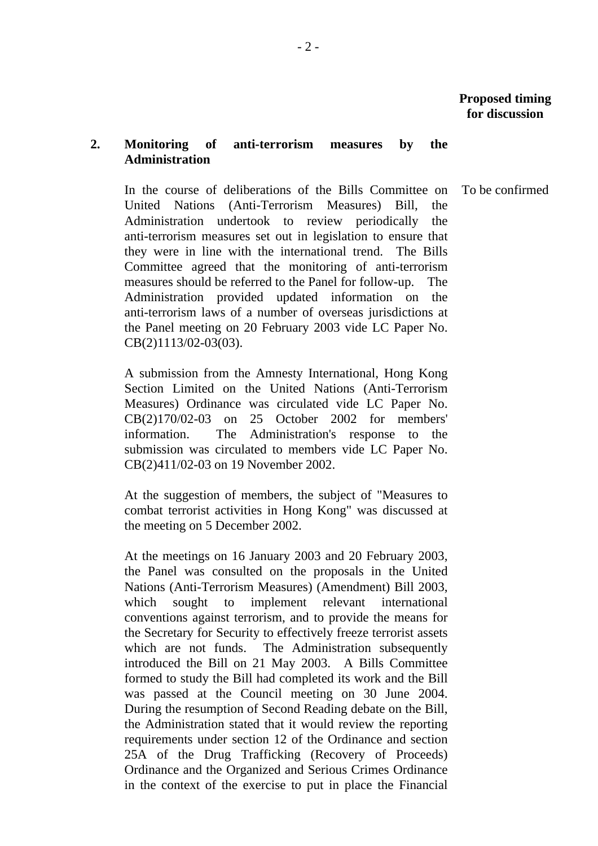# **2. Monitoring of anti-terrorism measures by the Administration**

 In the course of deliberations of the Bills Committee on United Nations (Anti-Terrorism Measures) Bill, the Administration undertook to review periodically the anti-terrorism measures set out in legislation to ensure that they were in line with the international trend. The Bills Committee agreed that the monitoring of anti-terrorism measures should be referred to the Panel for follow-up. The Administration provided updated information on the anti-terrorism laws of a number of overseas jurisdictions at the Panel meeting on 20 February 2003 vide LC Paper No. CB(2)1113/02-03(03).

A submission from the Amnesty International, Hong Kong Section Limited on the United Nations (Anti-Terrorism Measures) Ordinance was circulated vide LC Paper No. CB(2)170/02-03 on 25 October 2002 for members' information. The Administration's response to the submission was circulated to members vide LC Paper No. CB(2)411/02-03 on 19 November 2002.

At the suggestion of members, the subject of "Measures to combat terrorist activities in Hong Kong" was discussed at the meeting on 5 December 2002.

At the meetings on 16 January 2003 and 20 February 2003, the Panel was consulted on the proposals in the United Nations (Anti-Terrorism Measures) (Amendment) Bill 2003, which sought to implement relevant international conventions against terrorism, and to provide the means for the Secretary for Security to effectively freeze terrorist assets which are not funds. The Administration subsequently introduced the Bill on 21 May 2003. A Bills Committee formed to study the Bill had completed its work and the Bill was passed at the Council meeting on 30 June 2004. During the resumption of Second Reading debate on the Bill, the Administration stated that it would review the reporting requirements under section 12 of the Ordinance and section 25A of the Drug Trafficking (Recovery of Proceeds) Ordinance and the Organized and Serious Crimes Ordinance in the context of the exercise to put in place the Financial

To be confirmed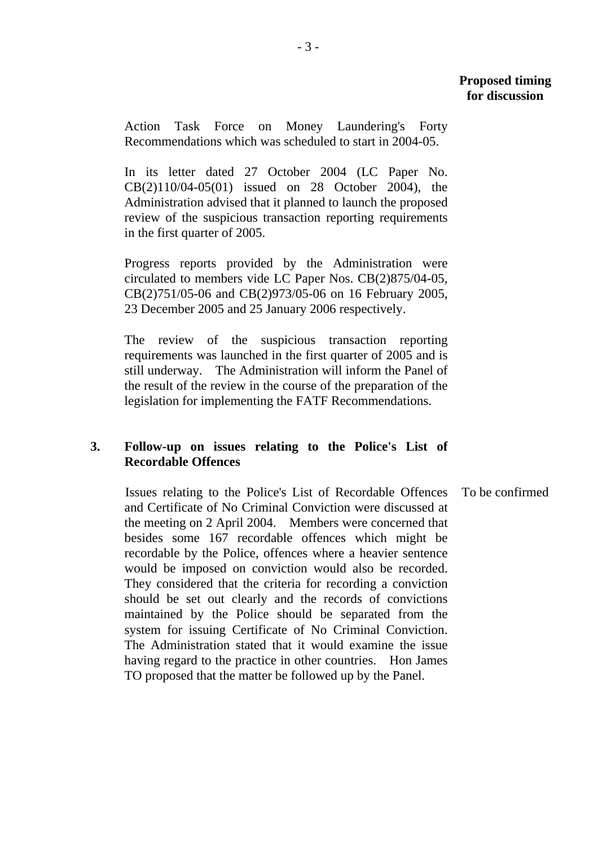Action Task Force on Money Laundering's Forty Recommendations which was scheduled to start in 2004-05.

In its letter dated 27 October 2004 (LC Paper No. CB(2)110/04-05(01) issued on 28 October 2004), the Administration advised that it planned to launch the proposed review of the suspicious transaction reporting requirements in the first quarter of 2005.

Progress reports provided by the Administration were circulated to members vide LC Paper Nos. CB(2)875/04-05, CB(2)751/05-06 and CB(2)973/05-06 on 16 February 2005, 23 December 2005 and 25 January 2006 respectively.

The review of the suspicious transaction reporting requirements was launched in the first quarter of 2005 and is still underway. The Administration will inform the Panel of the result of the review in the course of the preparation of the legislation for implementing the FATF Recommendations.

# **3. Follow-up on issues relating to the Police's List of Recordable Offences**

Issues relating to the Police's List of Recordable Offences and Certificate of No Criminal Conviction were discussed at the meeting on 2 April 2004. Members were concerned that besides some 167 recordable offences which might be recordable by the Police, offences where a heavier sentence would be imposed on conviction would also be recorded. They considered that the criteria for recording a conviction should be set out clearly and the records of convictions maintained by the Police should be separated from the system for issuing Certificate of No Criminal Conviction. The Administration stated that it would examine the issue having regard to the practice in other countries. Hon James TO proposed that the matter be followed up by the Panel.

To be confirmed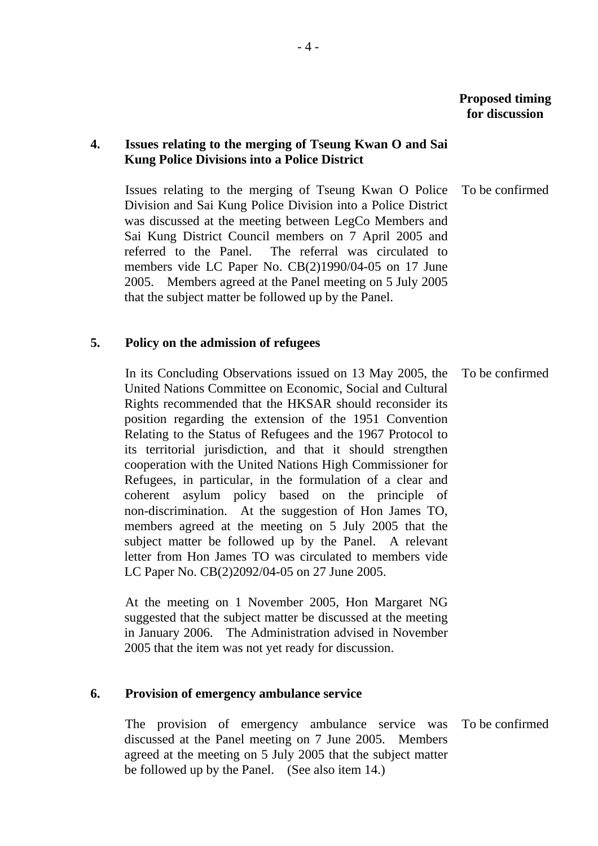# **4. Issues relating to the merging of Tseung Kwan O and Sai Kung Police Divisions into a Police District**

Issues relating to the merging of Tseung Kwan O Police Division and Sai Kung Police Division into a Police District was discussed at the meeting between LegCo Members and Sai Kung District Council members on 7 April 2005 and referred to the Panel. The referral was circulated to members vide LC Paper No. CB(2)1990/04-05 on 17 June 2005. Members agreed at the Panel meeting on 5 July 2005 that the subject matter be followed up by the Panel. To be confirmed

# **5. Policy on the admission of refugees**

In its Concluding Observations issued on 13 May 2005, the United Nations Committee on Economic, Social and Cultural Rights recommended that the HKSAR should reconsider its position regarding the extension of the 1951 Convention Relating to the Status of Refugees and the 1967 Protocol to its territorial jurisdiction, and that it should strengthen cooperation with the United Nations High Commissioner for Refugees, in particular, in the formulation of a clear and coherent asylum policy based on the principle of non-discrimination. At the suggestion of Hon James TO, members agreed at the meeting on 5 July 2005 that the subject matter be followed up by the Panel. A relevant letter from Hon James TO was circulated to members vide LC Paper No. CB(2)2092/04-05 on 27 June 2005. To be confirmed

At the meeting on 1 November 2005, Hon Margaret NG suggested that the subject matter be discussed at the meeting in January 2006. The Administration advised in November 2005 that the item was not yet ready for discussion.

### **6. Provision of emergency ambulance service**

The provision of emergency ambulance service was discussed at the Panel meeting on 7 June 2005. Members agreed at the meeting on 5 July 2005 that the subject matter be followed up by the Panel. (See also item 14.)

To be confirmed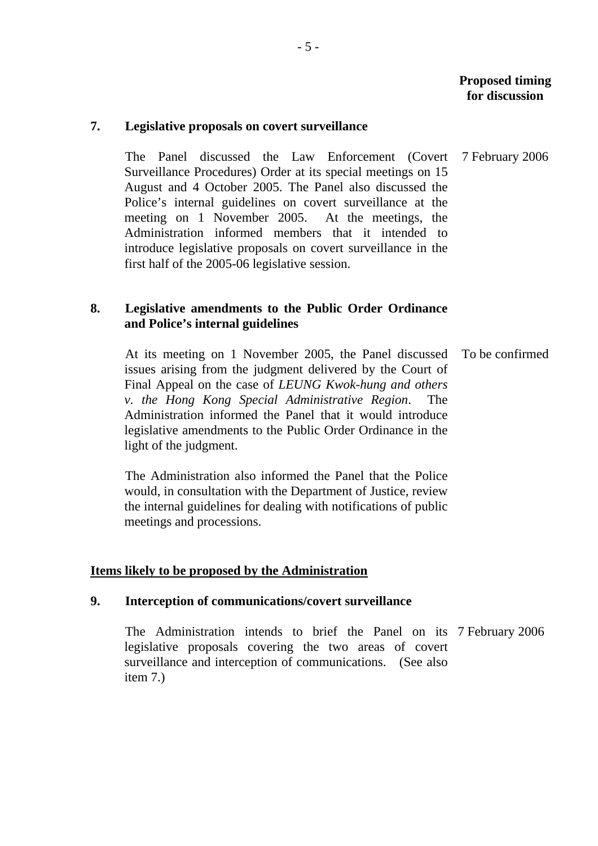#### **7. Legislative proposals on covert surveillance**

The Panel discussed the Law Enforcement (Covert Surveillance Procedures) Order at its special meetings on 15 August and 4 October 2005. The Panel also discussed the Police's internal guidelines on covert surveillance at the meeting on 1 November 2005. At the meetings, the Administration informed members that it intended to introduce legislative proposals on covert surveillance in the first half of the 2005-06 legislative session. 7 February 2006

# **8. Legislative amendments to the Public Order Ordinance and Police's internal guidelines**

At its meeting on 1 November 2005, the Panel discussed issues arising from the judgment delivered by the Court of Final Appeal on the case of *LEUNG Kwok-hung and others v. the Hong Kong Special Administrative Region*. The Administration informed the Panel that it would introduce legislative amendments to the Public Order Ordinance in the light of the judgment. To be confirmed

The Administration also informed the Panel that the Police would, in consultation with the Department of Justice, review the internal guidelines for dealing with notifications of public meetings and processions.

### **Items likely to be proposed by the Administration**

### **9. Interception of communications/covert surveillance**

The Administration intends to brief the Panel on its 7 February 2006 legislative proposals covering the two areas of covert surveillance and interception of communications. (See also item 7.)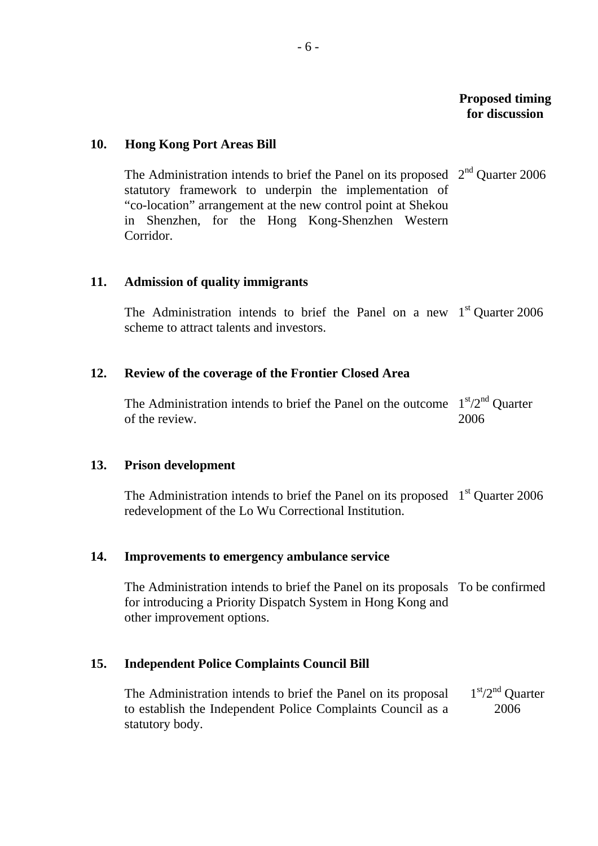# **10. Hong Kong Port Areas Bill**

The Administration intends to brief the Panel on its proposed  $2<sup>nd</sup>$  Quarter 2006 statutory framework to underpin the implementation of "co-location" arrangement at the new control point at Shekou in Shenzhen, for the Hong Kong-Shenzhen Western Corridor.

### **11. Admission of quality immigrants**

The Administration intends to brief the Panel on a new  $1<sup>st</sup>$  Quarter 2006 scheme to attract talents and investors.

### **12. Review of the coverage of the Frontier Closed Area**

The Administration intends to brief the Panel on the outcome  $1<sup>st</sup>/2<sup>nd</sup>$  Quarter of the review. 2006

#### **13. Prison development**

The Administration intends to brief the Panel on its proposed  $1<sup>st</sup>$  Quarter 2006 redevelopment of the Lo Wu Correctional Institution.

### **14. Improvements to emergency ambulance service**

The Administration intends to brief the Panel on its proposals To be confirmed for introducing a Priority Dispatch System in Hong Kong and other improvement options.

## **15. Independent Police Complaints Council Bill**

The Administration intends to brief the Panel on its proposal to establish the Independent Police Complaints Council as a statutory body. 1<sup>st</sup>/2<sup>nd</sup> Ouarter 2006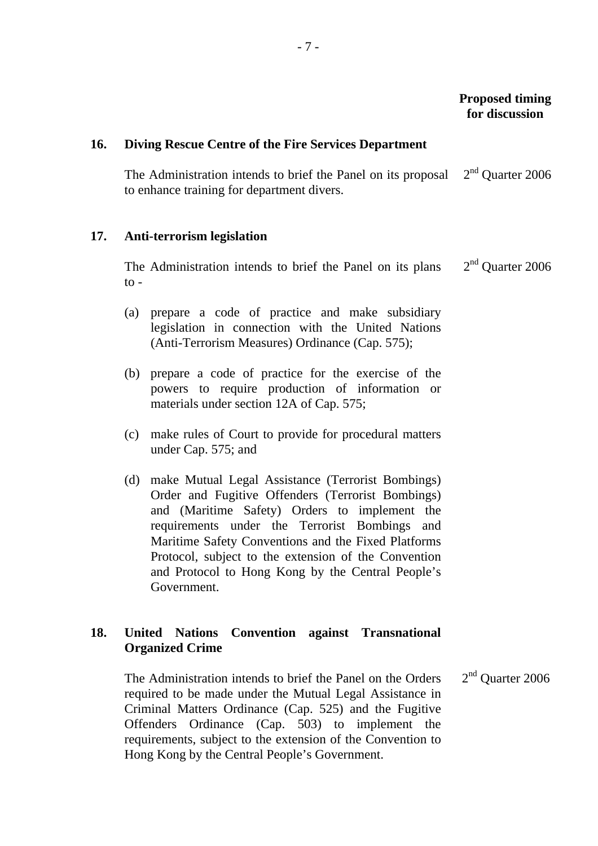### **16. Diving Rescue Centre of the Fire Services Department**

The Administration intends to brief the Panel on its proposal to enhance training for department divers.  $2<sup>nd</sup>$  Quarter 2006

#### **17. Anti-terrorism legislation**

The Administration intends to brief the Panel on its plans  $\mathsf{to}$  -2<sup>nd</sup> Quarter 2006

- (a) prepare a code of practice and make subsidiary legislation in connection with the United Nations (Anti-Terrorism Measures) Ordinance (Cap. 575);
- (b) prepare a code of practice for the exercise of the powers to require production of information or materials under section 12A of Cap. 575;
- (c) make rules of Court to provide for procedural matters under Cap. 575; and
- (d) make Mutual Legal Assistance (Terrorist Bombings) Order and Fugitive Offenders (Terrorist Bombings) and (Maritime Safety) Orders to implement the requirements under the Terrorist Bombings and Maritime Safety Conventions and the Fixed Platforms Protocol, subject to the extension of the Convention and Protocol to Hong Kong by the Central People's Government.

# **18. United Nations Convention against Transnational Organized Crime**

The Administration intends to brief the Panel on the Orders required to be made under the Mutual Legal Assistance in Criminal Matters Ordinance (Cap. 525) and the Fugitive Offenders Ordinance (Cap. 503) to implement the requirements, subject to the extension of the Convention to Hong Kong by the Central People's Government. 2<sup>nd</sup> Quarter 2006